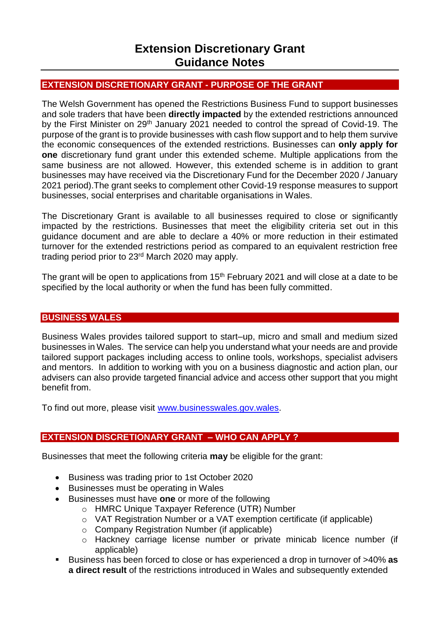# **EXTENSION DISCRETIONARY GRANT - PURPOSE OF THE GRANT**

The Welsh Government has opened the Restrictions Business Fund to support businesses and sole traders that have been **directly impacted** by the extended restrictions announced by the First Minister on 29<sup>th</sup> January 2021 needed to control the spread of Covid-19. The purpose of the grant is to provide businesses with cash flow support and to help them survive the economic consequences of the extended restrictions. Businesses can **only apply for one** discretionary fund grant under this extended scheme. Multiple applications from the same business are not allowed. However, this extended scheme is in addition to grant businesses may have received via the Discretionary Fund for the December 2020 / January 2021 period).The grant seeks to complement other Covid-19 response measures to support businesses, social enterprises and charitable organisations in Wales.

The Discretionary Grant is available to all businesses required to close or significantly impacted by the restrictions. Businesses that meet the eligibility criteria set out in this guidance document and are able to declare a 40% or more reduction in their estimated turnover for the extended restrictions period as compared to an equivalent restriction free trading period prior to 23rd March 2020 may apply.

The grant will be open to applications from  $15<sup>th</sup>$  February 2021 and will close at a date to be specified by the local authority or when the fund has been fully committed.

## **BUSINESS WALES**

Business Wales provides tailored support to start–up, micro and small and medium sized businesses in Wales. The service can help you understand what your needs are and provide tailored support packages including access to online tools, workshops, specialist advisers and mentors. In addition to working with you on a business diagnostic and action plan, our advisers can also provide targeted financial advice and access other support that you might benefit from.

To find out more, please visit [www.businesswales.gov.wales.](http://www.businesswales.gov.wales/)

## **EXTENSION DISCRETIONARY GRANT – WHO CAN APPLY ?**

Businesses that meet the following criteria **may** be eligible for the grant:

- Business was trading prior to 1st October 2020
- Businesses must be operating in Wales
- Businesses must have **one** or more of the following
	- o HMRC Unique Taxpayer Reference (UTR) Number
	- o VAT Registration Number or a VAT exemption certificate (if applicable)
	- o Company Registration Number (if applicable)
	- o Hackney carriage license number or private minicab licence number (if applicable)
- Business has been forced to close or has experienced a drop in turnover of >40% **as a direct result** of the restrictions introduced in Wales and subsequently extended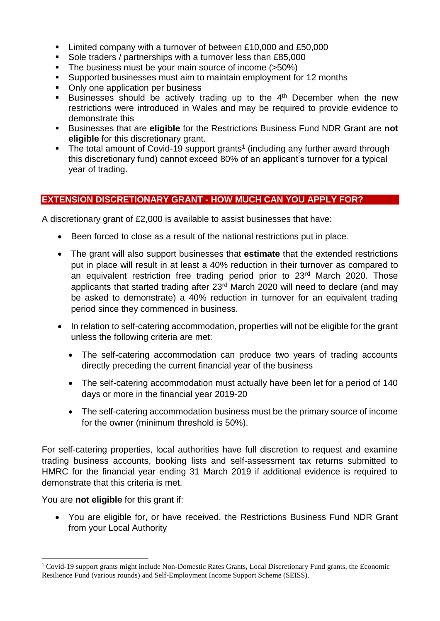- Limited company with a turnover of between £10,000 and £50,000
- Sole traders / partnerships with a turnover less than £85,000
- The business must be your main source of income (>50%)
- Supported businesses must aim to maintain employment for 12 months
- Only one application per business
- **EXECT** Businesses should be actively trading up to the  $4<sup>th</sup>$  December when the new restrictions were introduced in Wales and may be required to provide evidence to demonstrate this
- Businesses that are **eligible** for the Restrictions Business Fund NDR Grant are **not eligible** for this discretionary grant.
- The total amount of Covid-19 support grants<sup>1</sup> (including any further award through this discretionary fund) cannot exceed 80% of an applicant's turnover for a typical year of trading.

## **EXTENSION DISCRETIONARY GRANT - HOW MUCH CAN YOU APPLY FOR?**

A discretionary grant of £2,000 is available to assist businesses that have:

- Been forced to close as a result of the national restrictions put in place.
- The grant will also support businesses that **estimate** that the extended restrictions put in place will result in at least a 40% reduction in their turnover as compared to an equivalent restriction free trading period prior to 23<sup>rd</sup> March 2020. Those applicants that started trading after 23rd March 2020 will need to declare (and may be asked to demonstrate) a 40% reduction in turnover for an equivalent trading period since they commenced in business.
- In relation to self-catering accommodation, properties will not be eligible for the grant unless the following criteria are met:
	- The self-catering accommodation can produce two years of trading accounts directly preceding the current financial year of the business
	- The self-catering accommodation must actually have been let for a period of 140 days or more in the financial year 2019-20
	- The self-catering accommodation business must be the primary source of income for the owner (minimum threshold is 50%).

For self-catering properties, local authorities have full discretion to request and examine trading business accounts, booking lists and self-assessment tax returns submitted to HMRC for the financial year ending 31 March 2019 if additional evidence is required to demonstrate that this criteria is met.

You are **not eligible** for this grant if:

1

• You are eligible for, or have received, the Restrictions Business Fund NDR Grant from your Local Authority

<sup>&</sup>lt;sup>1</sup> Covid-19 support grants might include Non-Domestic Rates Grants, Local Discretionary Fund grants, the Economic Resilience Fund (various rounds) and Self-Employment Income Support Scheme (SEISS).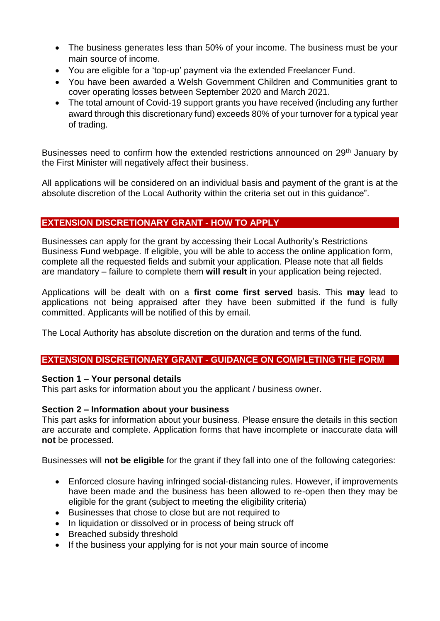- The business generates less than 50% of your income. The business must be your main source of income.
- You are eligible for a 'top-up' payment via the extended Freelancer Fund.
- You have been awarded a Welsh Government Children and Communities grant to cover operating losses between September 2020 and March 2021.
- The total amount of Covid-19 support grants you have received (including any further award through this discretionary fund) exceeds 80% of your turnover for a typical year of trading.

Businesses need to confirm how the extended restrictions announced on 29<sup>th</sup> January by the First Minister will negatively affect their business.

All applications will be considered on an individual basis and payment of the grant is at the absolute discretion of the Local Authority within the criteria set out in this guidance".

# **EXTENSION DISCRETIONARY GRANT - HOW TO APPLY**

Businesses can apply for the grant by accessing their Local Authority's Restrictions Business Fund webpage. If eligible, you will be able to access the online application form, complete all the requested fields and submit your application. Please note that all fields are mandatory – failure to complete them **will result** in your application being rejected.

Applications will be dealt with on a **first come first served** basis. This **may** lead to applications not being appraised after they have been submitted if the fund is fully committed. Applicants will be notified of this by email.

The Local Authority has absolute discretion on the duration and terms of the fund.

## **EXTENSION DISCRETIONARY GRANT - GUIDANCE ON COMPLETING THE FORM**

#### **Section 1** – **Your personal details**

This part asks for information about you the applicant / business owner.

## **Section 2 – Information about your business**

This part asks for information about your business. Please ensure the details in this section are accurate and complete. Application forms that have incomplete or inaccurate data will **not** be processed.

Businesses will **not be eligible** for the grant if they fall into one of the following categories:

- Enforced closure having infringed social-distancing rules. However, if improvements have been made and the business has been allowed to re-open then they may be eligible for the grant (subject to meeting the eligibility criteria)
- Businesses that chose to close but are not required to
- In liquidation or dissolved or in process of being struck off
- Breached subsidy threshold
- If the business your applying for is not your main source of income